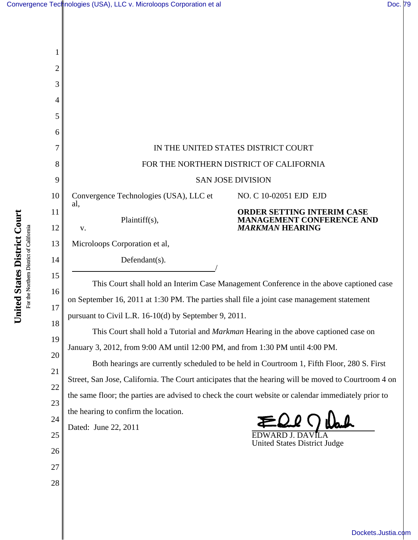| Convergence Technologies (USA), LLC v. Microloops Corporation et al | Doc. 79 |  |
|---------------------------------------------------------------------|---------|--|
|                                                                     |         |  |

| 2        |                                                                                                      |  |  |  |  |
|----------|------------------------------------------------------------------------------------------------------|--|--|--|--|
| 3        |                                                                                                      |  |  |  |  |
| 4        |                                                                                                      |  |  |  |  |
| 5        |                                                                                                      |  |  |  |  |
| 6        |                                                                                                      |  |  |  |  |
| 7        | IN THE UNITED STATES DISTRICT COURT                                                                  |  |  |  |  |
| 8        | FOR THE NORTHERN DISTRICT OF CALIFORNIA                                                              |  |  |  |  |
| 9        | <b>SAN JOSE DIVISION</b>                                                                             |  |  |  |  |
| 10       | Convergence Technologies (USA), LLC et<br>NO. C 10-02051 EJD EJD<br>al,                              |  |  |  |  |
| 11       | <b>ORDER SETTING INTERIM CASE</b><br>Plaintiff(s),<br><b>MANAGEMENT CONFERENCE AND</b>               |  |  |  |  |
| 12       | <b>MARKMAN HEARING</b><br>V.                                                                         |  |  |  |  |
| 13       | Microloops Corporation et al,                                                                        |  |  |  |  |
| 14       | Defendant(s).                                                                                        |  |  |  |  |
| 15       | This Court shall hold an Interim Case Management Conference in the above captioned case              |  |  |  |  |
| 16       | on September 16, 2011 at 1:30 PM. The parties shall file a joint case management statement           |  |  |  |  |
| 17<br>18 | pursuant to Civil L.R. 16-10(d) by September 9, 2011.                                                |  |  |  |  |
| 19       | This Court shall hold a Tutorial and Markman Hearing in the above captioned case on                  |  |  |  |  |
| 20       | January 3, 2012, from 9:00 AM until 12:00 PM, and from 1:30 PM until 4:00 PM.                        |  |  |  |  |
| 21       | Both hearings are currently scheduled to be held in Courtroom 1, Fifth Floor, 280 S. First           |  |  |  |  |
| 22       | Street, San Jose, California. The Court anticipates that the hearing will be moved to Courtroom 4 on |  |  |  |  |
| 23       | the same floor; the parties are advised to check the court website or calendar immediately prior to  |  |  |  |  |
| 24       | the hearing to confirm the location.                                                                 |  |  |  |  |
| 25       | Dated: June 22, 2011<br>EDWARD J. DAVILA                                                             |  |  |  |  |
| 26       | <b>United States District Judge</b>                                                                  |  |  |  |  |
| 27       |                                                                                                      |  |  |  |  |
| 28       |                                                                                                      |  |  |  |  |
|          |                                                                                                      |  |  |  |  |
|          |                                                                                                      |  |  |  |  |